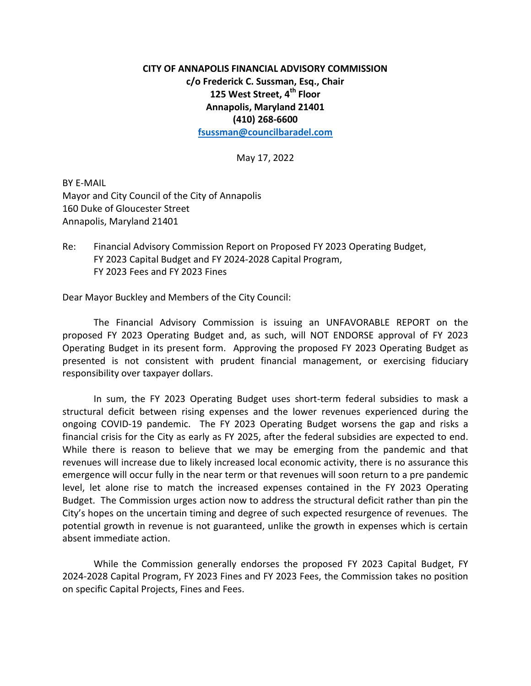## **CITY OF ANNAPOLIS FINANCIAL ADVISORY COMMISSION c/o Frederick C. Sussman, Esq., Chair 125 West Street, 4th Floor Annapolis, Maryland 21401 (410) 268-6600**

**[fsussman@councilbaradel.com](mailto:fsussman@councilbaradel.com)**

May 17, 2022

BY E-MAIL Mayor and City Council of the City of Annapolis 160 Duke of Gloucester Street Annapolis, Maryland 21401

Re: Financial Advisory Commission Report on Proposed FY 2023 Operating Budget, FY 2023 Capital Budget and FY 2024-2028 Capital Program, FY 2023 Fees and FY 2023 Fines

Dear Mayor Buckley and Members of the City Council:

The Financial Advisory Commission is issuing an UNFAVORABLE REPORT on the proposed FY 2023 Operating Budget and, as such, will NOT ENDORSE approval of FY 2023 Operating Budget in its present form. Approving the proposed FY 2023 Operating Budget as presented is not consistent with prudent financial management, or exercising fiduciary responsibility over taxpayer dollars.

In sum, the FY 2023 Operating Budget uses short-term federal subsidies to mask a structural deficit between rising expenses and the lower revenues experienced during the ongoing COVID-19 pandemic. The FY 2023 Operating Budget worsens the gap and risks a financial crisis for the City as early as FY 2025, after the federal subsidies are expected to end. While there is reason to believe that we may be emerging from the pandemic and that revenues will increase due to likely increased local economic activity, there is no assurance this emergence will occur fully in the near term or that revenues will soon return to a pre pandemic level, let alone rise to match the increased expenses contained in the FY 2023 Operating Budget. The Commission urges action now to address the structural deficit rather than pin the City's hopes on the uncertain timing and degree of such expected resurgence of revenues. The potential growth in revenue is not guaranteed, unlike the growth in expenses which is certain absent immediate action.

While the Commission generally endorses the proposed FY 2023 Capital Budget, FY 2024-2028 Capital Program, FY 2023 Fines and FY 2023 Fees, the Commission takes no position on specific Capital Projects, Fines and Fees.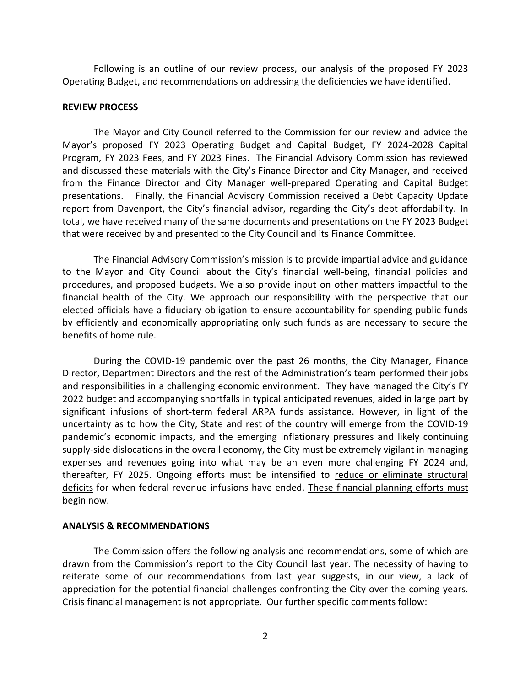Following is an outline of our review process, our analysis of the proposed FY 2023 Operating Budget, and recommendations on addressing the deficiencies we have identified.

## **REVIEW PROCESS**

The Mayor and City Council referred to the Commission for our review and advice the Mayor's proposed FY 2023 Operating Budget and Capital Budget, FY 2024-2028 Capital Program, FY 2023 Fees, and FY 2023 Fines. The Financial Advisory Commission has reviewed and discussed these materials with the City's Finance Director and City Manager, and received from the Finance Director and City Manager well-prepared Operating and Capital Budget presentations. Finally, the Financial Advisory Commission received a Debt Capacity Update report from Davenport, the City's financial advisor, regarding the City's debt affordability. In total, we have received many of the same documents and presentations on the FY 2023 Budget that were received by and presented to the City Council and its Finance Committee.

The Financial Advisory Commission's mission is to provide impartial advice and guidance to the Mayor and City Council about the City's financial well-being, financial policies and procedures, and proposed budgets. We also provide input on other matters impactful to the financial health of the City. We approach our responsibility with the perspective that our elected officials have a fiduciary obligation to ensure accountability for spending public funds by efficiently and economically appropriating only such funds as are necessary to secure the benefits of home rule.

During the COVID-19 pandemic over the past 26 months, the City Manager, Finance Director, Department Directors and the rest of the Administration's team performed their jobs and responsibilities in a challenging economic environment. They have managed the City's FY 2022 budget and accompanying shortfalls in typical anticipated revenues, aided in large part by significant infusions of short-term federal ARPA funds assistance. However, in light of the uncertainty as to how the City, State and rest of the country will emerge from the COVID-19 pandemic's economic impacts, and the emerging inflationary pressures and likely continuing supply-side dislocations in the overall economy, the City must be extremely vigilant in managing expenses and revenues going into what may be an even more challenging FY 2024 and, thereafter, FY 2025. Ongoing efforts must be intensified to reduce or eliminate structural deficits for when federal revenue infusions have ended. These financial planning efforts must begin now.

## **ANALYSIS & RECOMMENDATIONS**

The Commission offers the following analysis and recommendations, some of which are drawn from the Commission's report to the City Council last year. The necessity of having to reiterate some of our recommendations from last year suggests, in our view, a lack of appreciation for the potential financial challenges confronting the City over the coming years. Crisis financial management is not appropriate. Our further specific comments follow: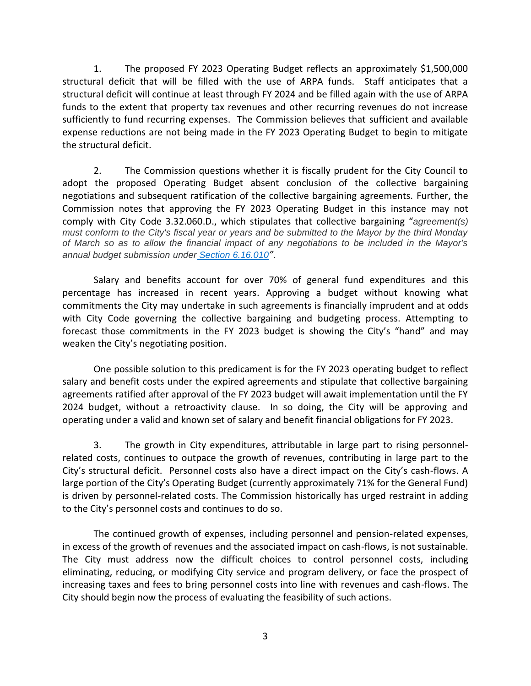1. The proposed FY 2023 Operating Budget reflects an approximately \$1,500,000 structural deficit that will be filled with the use of ARPA funds. Staff anticipates that a structural deficit will continue at least through FY 2024 and be filled again with the use of ARPA funds to the extent that property tax revenues and other recurring revenues do not increase sufficiently to fund recurring expenses. The Commission believes that sufficient and available expense reductions are not being made in the FY 2023 Operating Budget to begin to mitigate the structural deficit.

2. The Commission questions whether it is fiscally prudent for the City Council to adopt the proposed Operating Budget absent conclusion of the collective bargaining negotiations and subsequent ratification of the collective bargaining agreements. Further, the Commission notes that approving the FY 2023 Operating Budget in this instance may not comply with City Code 3.32.060.D., which stipulates that collective bargaining "*agreement(s) must conform to the City's fiscal year or years and be submitted to the Mayor by the third Monday of March so as to allow the financial impact of any negotiations to be included in the Mayor's annual budget submission under [Section 6.16.010](https://library.municode.com/md/annapolis/codes/code_of_ordinances?nodeId=TIT6REFI_CH6.16BU_6.16.010ANBU)"*.

Salary and benefits account for over 70% of general fund expenditures and this percentage has increased in recent years. Approving a budget without knowing what commitments the City may undertake in such agreements is financially imprudent and at odds with City Code governing the collective bargaining and budgeting process. Attempting to forecast those commitments in the FY 2023 budget is showing the City's "hand" and may weaken the City's negotiating position.

One possible solution to this predicament is for the FY 2023 operating budget to reflect salary and benefit costs under the expired agreements and stipulate that collective bargaining agreements ratified after approval of the FY 2023 budget will await implementation until the FY 2024 budget, without a retroactivity clause. In so doing, the City will be approving and operating under a valid and known set of salary and benefit financial obligations for FY 2023.

3. The growth in City expenditures, attributable in large part to rising personnelrelated costs, continues to outpace the growth of revenues, contributing in large part to the City's structural deficit. Personnel costs also have a direct impact on the City's cash-flows. A large portion of the City's Operating Budget (currently approximately 71% for the General Fund) is driven by personnel-related costs. The Commission historically has urged restraint in adding to the City's personnel costs and continues to do so.

The continued growth of expenses, including personnel and pension-related expenses, in excess of the growth of revenues and the associated impact on cash-flows, is not sustainable. The City must address now the difficult choices to control personnel costs, including eliminating, reducing, or modifying City service and program delivery, or face the prospect of increasing taxes and fees to bring personnel costs into line with revenues and cash-flows. The City should begin now the process of evaluating the feasibility of such actions.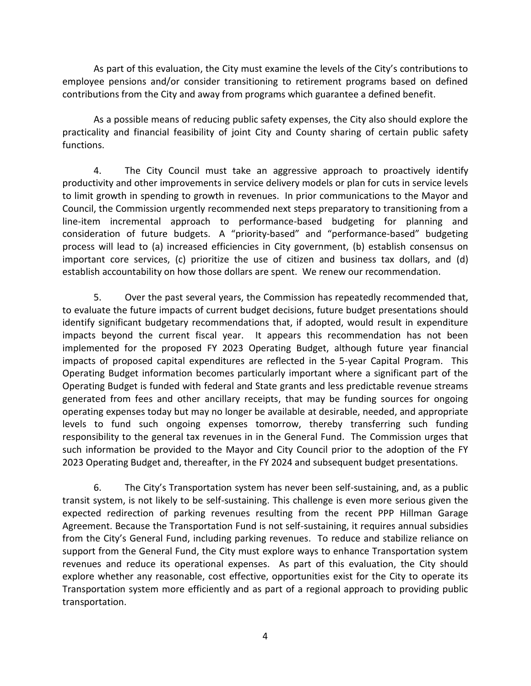As part of this evaluation, the City must examine the levels of the City's contributions to employee pensions and/or consider transitioning to retirement programs based on defined contributions from the City and away from programs which guarantee a defined benefit.

As a possible means of reducing public safety expenses, the City also should explore the practicality and financial feasibility of joint City and County sharing of certain public safety functions.

4. The City Council must take an aggressive approach to proactively identify productivity and other improvements in service delivery models or plan for cuts in service levels to limit growth in spending to growth in revenues. In prior communications to the Mayor and Council, the Commission urgently recommended next steps preparatory to transitioning from a line-item incremental approach to performance-based budgeting for planning and consideration of future budgets. A "priority-based" and "performance-based" budgeting process will lead to (a) increased efficiencies in City government, (b) establish consensus on important core services, (c) prioritize the use of citizen and business tax dollars, and (d) establish accountability on how those dollars are spent. We renew our recommendation.

5. Over the past several years, the Commission has repeatedly recommended that, to evaluate the future impacts of current budget decisions, future budget presentations should identify significant budgetary recommendations that, if adopted, would result in expenditure impacts beyond the current fiscal year. It appears this recommendation has not been implemented for the proposed FY 2023 Operating Budget, although future year financial impacts of proposed capital expenditures are reflected in the 5-year Capital Program. This Operating Budget information becomes particularly important where a significant part of the Operating Budget is funded with federal and State grants and less predictable revenue streams generated from fees and other ancillary receipts, that may be funding sources for ongoing operating expenses today but may no longer be available at desirable, needed, and appropriate levels to fund such ongoing expenses tomorrow, thereby transferring such funding responsibility to the general tax revenues in in the General Fund. The Commission urges that such information be provided to the Mayor and City Council prior to the adoption of the FY 2023 Operating Budget and, thereafter, in the FY 2024 and subsequent budget presentations.

6. The City's Transportation system has never been self-sustaining, and, as a public transit system, is not likely to be self-sustaining. This challenge is even more serious given the expected redirection of parking revenues resulting from the recent PPP Hillman Garage Agreement. Because the Transportation Fund is not self-sustaining, it requires annual subsidies from the City's General Fund, including parking revenues. To reduce and stabilize reliance on support from the General Fund, the City must explore ways to enhance Transportation system revenues and reduce its operational expenses. As part of this evaluation, the City should explore whether any reasonable, cost effective, opportunities exist for the City to operate its Transportation system more efficiently and as part of a regional approach to providing public transportation.